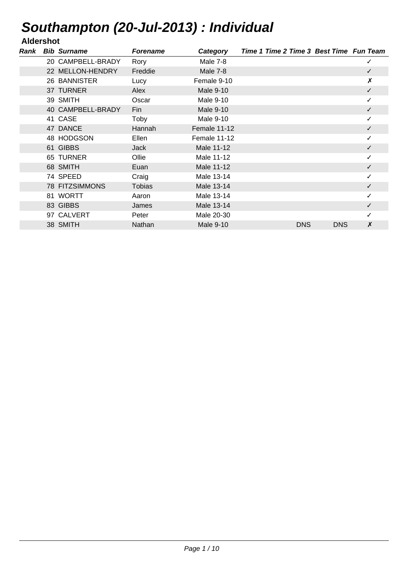## **Aldershot**

| Rank | <b>Bib Surname</b>    | <b>Forename</b> | Category         | Time 1 Time 2 Time 3 Best Time Fun Team |            |            |              |
|------|-----------------------|-----------------|------------------|-----------------------------------------|------------|------------|--------------|
|      | 20 CAMPBELL-BRADY     | Rory            | Male 7-8         |                                         |            |            | ✓            |
|      | 22 MELLON-HENDRY      | Freddie         | Male 7-8         |                                         |            |            | $\checkmark$ |
|      | 26 BANNISTER          | Lucy            | Female 9-10      |                                         |            |            | X            |
|      | 37 TURNER             | Alex            | <b>Male 9-10</b> |                                         |            |            | $\checkmark$ |
|      | 39 SMITH              | Oscar           | Male 9-10        |                                         |            |            | ✓            |
|      | 40 CAMPBELL-BRADY     | Fin             | Male 9-10        |                                         |            |            | $\checkmark$ |
|      | 41 CASE               | Toby            | Male 9-10        |                                         |            |            |              |
|      | 47 DANCE              | Hannah          | Female 11-12     |                                         |            |            | ✓            |
|      | 48 HODGSON            | Ellen           | Female 11-12     |                                         |            |            |              |
|      | 61 GIBBS              | <b>Jack</b>     | Male 11-12       |                                         |            |            | ✓            |
|      | 65 TURNER             | Ollie           | Male 11-12       |                                         |            |            |              |
|      | 68 SMITH              | Euan            | Male 11-12       |                                         |            |            | $\checkmark$ |
|      | 74 SPEED              | Craig           | Male 13-14       |                                         |            |            | ✓            |
|      | <b>78 FITZSIMMONS</b> | <b>Tobias</b>   | Male 13-14       |                                         |            |            | $\checkmark$ |
|      | 81 WORTT              | Aaron           | Male 13-14       |                                         |            |            | ✓            |
|      | 83 GIBBS              | James           | Male 13-14       |                                         |            |            | $\checkmark$ |
|      | 97 CALVERT            | Peter           | Male 20-30       |                                         |            |            | ✓            |
|      | 38 SMITH              | <b>Nathan</b>   | <b>Male 9-10</b> |                                         | <b>DNS</b> | <b>DNS</b> | X            |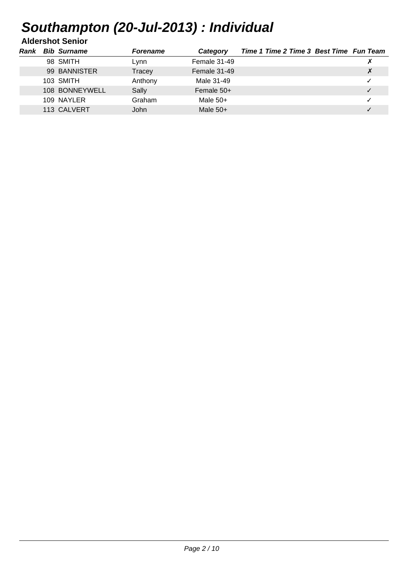### **Aldershot Senior**

| Rank | <b>Bib Surname</b> | <b>Forename</b> | Category     | Time 1 Time 2 Time 3 Best Time Fun Team |  |
|------|--------------------|-----------------|--------------|-----------------------------------------|--|
|      | 98 SMITH           | Lvnn            | Female 31-49 |                                         |  |
|      | 99 BANNISTER       | Tracey          | Female 31-49 |                                         |  |
|      | 103 SMITH          | Anthony         | Male 31-49   |                                         |  |
|      | 108 BONNEYWELL     | Sally           | Female $50+$ |                                         |  |
|      | 109 NAYLER         | Graham          | Male $50+$   |                                         |  |
|      | 113 CALVERT        | John            | Male $50+$   |                                         |  |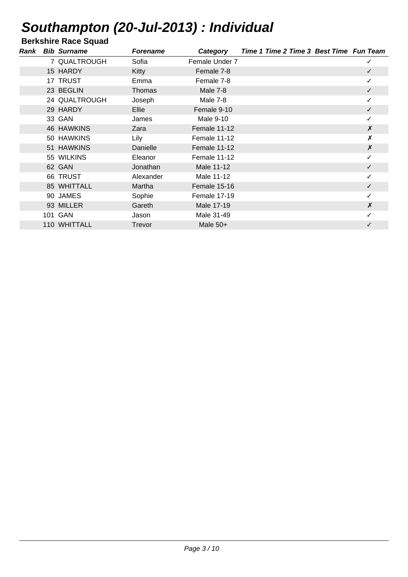**Berkshire Race Squad**

| Rank | <b>Bib Surname</b> | <b>Forename</b> | Category       | Time 1 Time 2 Time 3 Best Time Fun Team |                  |
|------|--------------------|-----------------|----------------|-----------------------------------------|------------------|
|      | 7 QUALTROUGH       | Sofia           | Female Under 7 |                                         | ✓                |
|      | 15 HARDY           | Kitty           | Female 7-8     |                                         | $\checkmark$     |
|      | 17 TRUST           | Emma            | Female 7-8     |                                         | ✓                |
|      | 23 BEGLIN          | Thomas          | Male 7-8       |                                         | $\checkmark$     |
|      | 24 QUALTROUGH      | Joseph          | Male 7-8       |                                         | ✓                |
|      | 29 HARDY           | Ellie           | Female 9-10    |                                         | ✓                |
|      | 33 GAN             | James           | Male 9-10      |                                         |                  |
|      | <b>46 HAWKINS</b>  | Zara            | Female 11-12   |                                         | X                |
|      | 50 HAWKINS         | Lily            | Female 11-12   |                                         | $\boldsymbol{x}$ |
|      | 51 HAWKINS         | Danielle        | Female 11-12   |                                         | X                |
|      | 55 WILKINS         | Eleanor         | Female 11-12   |                                         |                  |
|      | 62 GAN             | Jonathan        | Male 11-12     |                                         | ✓                |
|      | 66 TRUST           | Alexander       | Male 11-12     |                                         |                  |
|      | 85 WHITTALL        | Martha          | Female 15-16   |                                         | ✓                |
|      | 90 JAMES           | Sophie          | Female 17-19   |                                         |                  |
|      | 93 MILLER          | Gareth          | Male 17-19     |                                         | $\boldsymbol{x}$ |
|      | 101 GAN            | Jason           | Male 31-49     |                                         |                  |
|      | 110 WHITTALL       | Trevor          | Male $50+$     |                                         |                  |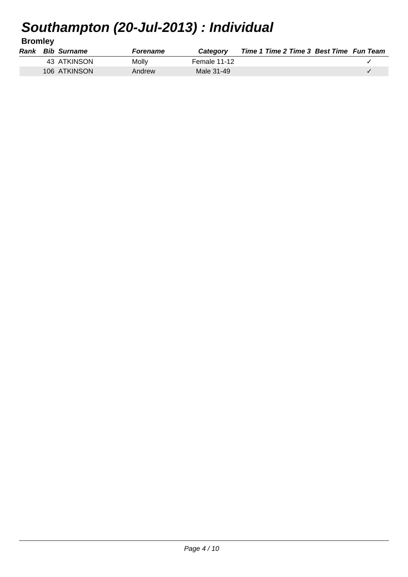**Bromley**

|  | Rank Bib Surname | Forename | Category     | Time 1 Time 2 Time 3 Best Time Fun Team |  |
|--|------------------|----------|--------------|-----------------------------------------|--|
|  | 43 ATKINSON      | Molly    | Female 11-12 |                                         |  |
|  | 106 ATKINSON     | Andrew   | Male 31-49   |                                         |  |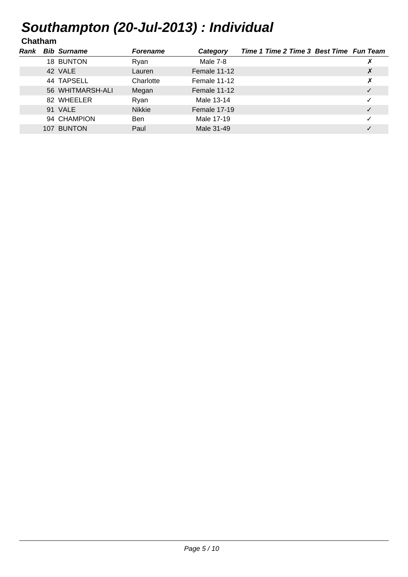### **Chatham**

| Rank | <b>Bib Surname</b> | <b>Forename</b> | Category     | Time 1 Time 2 Time 3 Best Time Fun Team |              |
|------|--------------------|-----------------|--------------|-----------------------------------------|--------------|
|      | 18 BUNTON          | Ryan            | Male 7-8     |                                         |              |
|      | 42 VALE            | Lauren          | Female 11-12 |                                         | X            |
|      | 44 TAPSELL         | Charlotte       | Female 11-12 |                                         | Х            |
|      | 56 WHITMARSH-ALI   | Megan           | Female 11-12 |                                         | $\checkmark$ |
|      | 82 WHEELER         | Ryan            | Male 13-14   |                                         |              |
|      | 91 VALE            | <b>Nikkie</b>   | Female 17-19 |                                         | $\checkmark$ |
|      | 94 CHAMPION        | <b>Ben</b>      | Male 17-19   |                                         | ✓            |
|      | 107 BUNTON         | Paul            | Male 31-49   |                                         |              |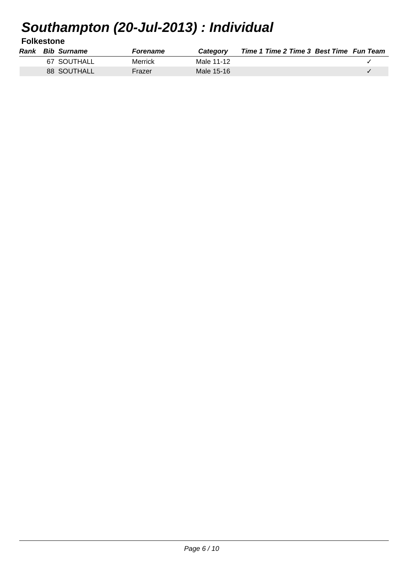**Folkestone**

|  | <b>Rank</b> Bib Surname | <b>Forename</b> | <b>Category</b> | Time 1 Time 2 Time 3 Best Time Fun Team |  |
|--|-------------------------|-----------------|-----------------|-----------------------------------------|--|
|  | 67 SOUTHALL             | Merrick         | Male 11-12      |                                         |  |
|  | 88 SOUTHALL             | Frazer          | Male 15-16      |                                         |  |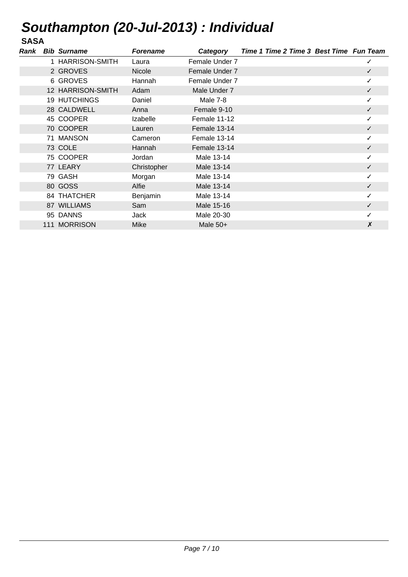### **SASA**

| Rank | <b>Bib Surname</b>  | <b>Forename</b> | Category       | Time 1 Time 2 Time 3 Best Time Fun Team |              |
|------|---------------------|-----------------|----------------|-----------------------------------------|--------------|
|      | 1 HARRISON-SMITH    | Laura           | Female Under 7 |                                         | ✓            |
|      | 2 GROVES            | <b>Nicole</b>   | Female Under 7 |                                         | $\checkmark$ |
|      | 6 GROVES            | Hannah          | Female Under 7 |                                         | ✓            |
|      | 12 HARRISON-SMITH   | Adam            | Male Under 7   |                                         | $\checkmark$ |
|      | <b>19 HUTCHINGS</b> | Daniel          | Male 7-8       |                                         | ✓            |
|      | 28 CALDWELL         | Anna            | Female 9-10    |                                         | $\checkmark$ |
|      | 45 COOPER           | Izabelle        | Female 11-12   |                                         | ✓            |
|      | 70 COOPER           | Lauren          | Female 13-14   |                                         | $\checkmark$ |
|      | 71 MANSON           | Cameron         | Female 13-14   |                                         | ✓            |
|      | 73 COLE             | Hannah          | Female 13-14   |                                         |              |
|      | 75 COOPER           | Jordan          | Male 13-14     |                                         |              |
|      | 77 LEARY            | Christopher     | Male 13-14     |                                         | ✓            |
|      | 79 GASH             | Morgan          | Male 13-14     |                                         |              |
|      | 80 GOSS             | Alfie           | Male 13-14     |                                         | ✓            |
|      | 84 THATCHER         | Benjamin        | Male 13-14     |                                         |              |
|      | 87 WILLIAMS         | Sam             | Male 15-16     |                                         | $\checkmark$ |
|      | 95 DANNS            | Jack            | Male 20-30     |                                         |              |
|      | 111 MORRISON        | Mike            | Male $50+$     |                                         | Х            |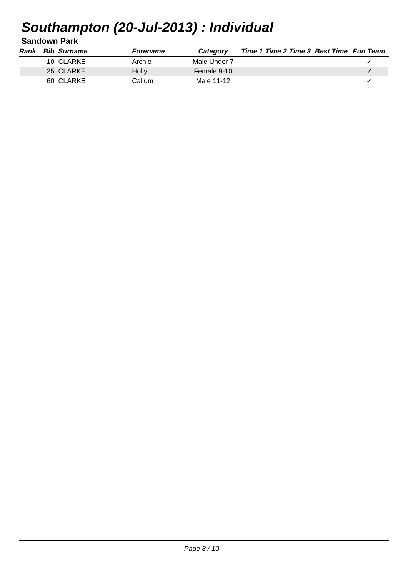**Sandown Park**

| Rank | <b>Bib Surname</b> | <b>Forename</b> | Category     | Time 1 Time 2 Time 3 Best Time Fun Team |  |
|------|--------------------|-----------------|--------------|-----------------------------------------|--|
|      | 10 CLARKE          | Archie          | Male Under 7 |                                         |  |
|      | 25 CLARKE          | <b>Holly</b>    | Female 9-10  |                                         |  |
|      | 60 CLARKE          | Callum          | Male 11-12   |                                         |  |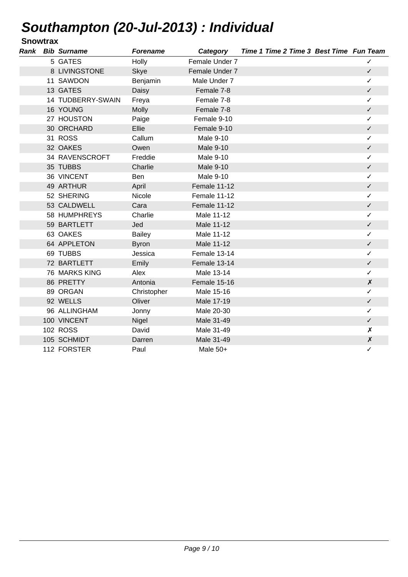### **Snowtrax**

| Rank | <b>Bib Surname</b> | <b>Forename</b> | Category         | Time 1 Time 2 Time 3 Best Time Fun Team |                    |
|------|--------------------|-----------------|------------------|-----------------------------------------|--------------------|
|      | 5 GATES            | Holly           | Female Under 7   |                                         | ✓                  |
|      | 8 LIVINGSTONE      | <b>Skye</b>     | Female Under 7   |                                         | $\checkmark$       |
|      | 11 SAWDON          | Benjamin        | Male Under 7     |                                         | ✓                  |
|      | 13 GATES           | Daisy           | Female 7-8       |                                         | $\checkmark$       |
|      | 14 TUDBERRY-SWAIN  | Freya           | Female 7-8       |                                         | ✓                  |
|      | 16 YOUNG           | <b>Molly</b>    | Female 7-8       |                                         | $\checkmark$       |
|      | 27 HOUSTON         | Paige           | Female 9-10      |                                         | ✓                  |
|      | 30 ORCHARD         | Ellie           | Female 9-10      |                                         | $\checkmark$       |
|      | 31 ROSS            | Callum          | <b>Male 9-10</b> |                                         | ✓                  |
|      | 32 OAKES           | Owen            | <b>Male 9-10</b> |                                         | $\checkmark$       |
|      | 34 RAVENSCROFT     | Freddie         | Male 9-10        |                                         | ✓                  |
|      | 35 TUBBS           | Charlie         | <b>Male 9-10</b> |                                         | ✓                  |
|      | 36 VINCENT         | <b>Ben</b>      | Male 9-10        |                                         | ✓                  |
|      | 49 ARTHUR          | April           | Female 11-12     |                                         | $\checkmark$       |
|      | 52 SHERING         | Nicole          | Female 11-12     |                                         | ✓                  |
|      | 53 CALDWELL        | Cara            | Female 11-12     |                                         | $\checkmark$       |
|      | 58 HUMPHREYS       | Charlie         | Male 11-12       |                                         | ✓                  |
|      | 59 BARTLETT        | Jed             | Male 11-12       |                                         | ✓                  |
|      | 63 OAKES           | <b>Bailey</b>   | Male 11-12       |                                         | ✓                  |
|      | 64 APPLETON        | <b>Byron</b>    | Male 11-12       |                                         | $\checkmark$       |
|      | 69 TUBBS           | Jessica         | Female 13-14     |                                         | ✓                  |
|      | 72 BARTLETT        | Emily           | Female 13-14     |                                         | $\checkmark$       |
|      | 76 MARKS KING      | Alex            | Male 13-14       |                                         | ✓                  |
|      | 86 PRETTY          | Antonia         | Female 15-16     |                                         | $\boldsymbol{x}$   |
|      | 89 ORGAN           | Christopher     | Male 15-16       |                                         | ✓                  |
|      | 92 WELLS           | Oliver          | Male 17-19       |                                         | $\checkmark$       |
|      | 96 ALLINGHAM       | Jonny           | Male 20-30       |                                         | ✓                  |
|      | 100 VINCENT        | Nigel           | Male 31-49       |                                         | ✓                  |
|      | 102 ROSS           | David           | Male 31-49       |                                         | $\pmb{\chi}$       |
|      | 105 SCHMIDT        | Darren          | Male 31-49       |                                         | $\pmb{\mathsf{X}}$ |
|      | 112 FORSTER        | Paul            | Male 50+         |                                         | ✓                  |